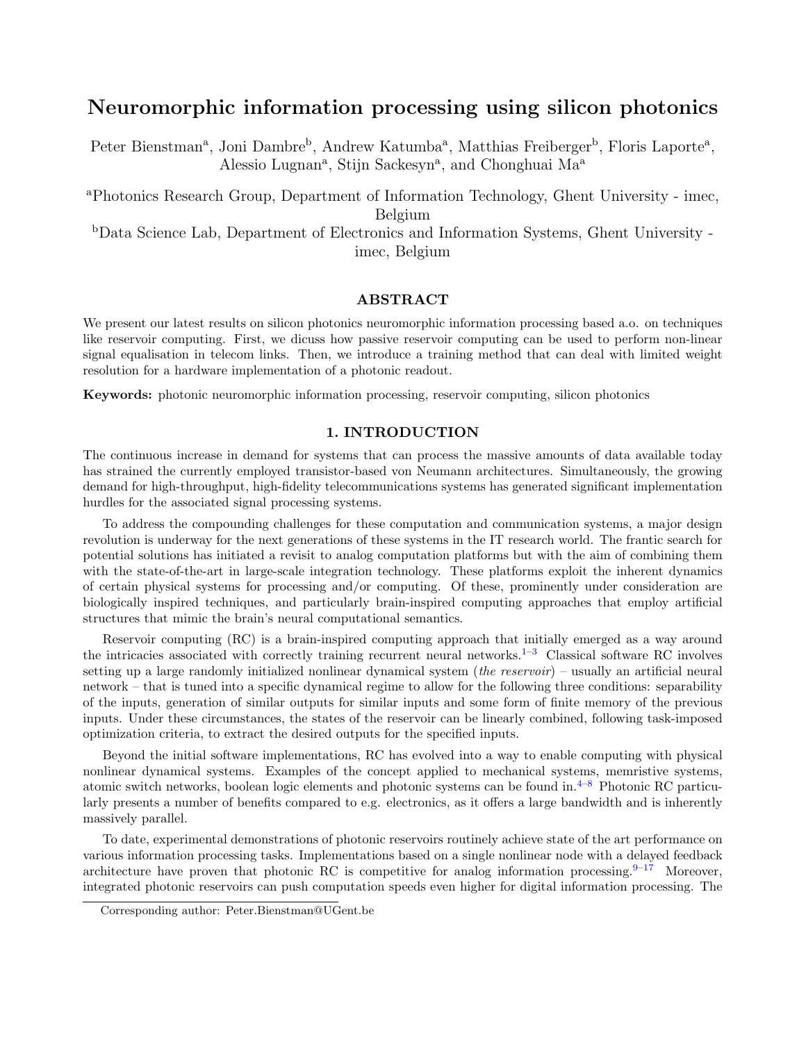# Neuromorphic information processing using silicon photonics

Peter Bienstman<sup>a</sup>, Joni Dambre<sup>b</sup>, Andrew Katumba<sup>a</sup>, Matthias Freiberger<sup>b</sup>, Floris Laporte<sup>a</sup>, Alessio Lugnan<sup>a</sup>, Stijn Sackesyn<sup>a</sup>, and Chonghuai Ma<sup>a</sup>

<sup>a</sup>Photonics Research Group, Department of Information Technology, Ghent University - imec, Belgium

<sup>b</sup>Data Science Lab, Department of Electronics and Information Systems, Ghent University imec, Belgium

# ABSTRACT

We present our latest results on silicon photonics neuromorphic information processing based a.o. on techniques like reservoir computing. First, we dicuss how passive reservoir computing can be used to perform non-linear signal equalisation in telecom links. Then, we introduce a training method that can deal with limited weight resolution for a hardware implementation of a photonic readout.

Keywords: photonic neuromorphic information processing, reservoir computing, silicon photonics

## 1. INTRODUCTION

The continuous increase in demand for systems that can process the massive amounts of data available today has strained the currently employed transistor-based von Neumann architectures. Simultaneously, the growing demand for high-throughput, high-fidelity telecommunications systems has generated significant implementation hurdles for the associated signal processing systems.

To address the compounding challenges for these computation and communication systems, a major design revolution is underway for the next generations of these systems in the IT research world. The frantic search for potential solutions has initiated a revisit to analog computation platforms but with the aim of combining them with the state-of-the-art in large-scale integration technology. These platforms exploit the inherent dynamics of certain physical systems for processing and/or computing. Of these, prominently under consideration are biologically inspired techniques, and particularly brain-inspired computing approaches that employ artificial structures that mimic the brain's neural computational semantics.

Reservoir computing (RC) is a brain-inspired computing approach that initially emerged as a way around the intricacies associated with correctly training recurrent neural networks.<sup>[1](#page-5-0)[–3](#page-5-1)</sup> Classical software RC involves setting up a large randomly initialized nonlinear dynamical system (*the reservoir*) – usually an artificial neural network – that is tuned into a specific dynamical regime to allow for the following three conditions: separability of the inputs, generation of similar outputs for similar inputs and some form of finite memory of the previous inputs. Under these circumstances, the states of the reservoir can be linearly combined, following task-imposed optimization criteria, to extract the desired outputs for the specified inputs.

Beyond the initial software implementations, RC has evolved into a way to enable computing with physical nonlinear dynamical systems. Examples of the concept applied to mechanical systems, memristive systems, atomic switch networks, boolean logic elements and photonic systems can be found in.[4](#page-5-2)[–8](#page-5-3) Photonic RC particularly presents a number of benefits compared to e.g. electronics, as it offers a large bandwidth and is inherently massively parallel.

To date, experimental demonstrations of photonic reservoirs routinely achieve state of the art performance on various information processing tasks. Implementations based on a single nonlinear node with a delayed feedback architecture have proven that photonic RC is competitive for analog information processing.  $9^{-17}$  $9^{-17}$  $9^{-17}$  Moreover, integrated photonic reservoirs can push computation speeds even higher for digital information processing. The

Corresponding author: Peter.Bienstman@UGent.be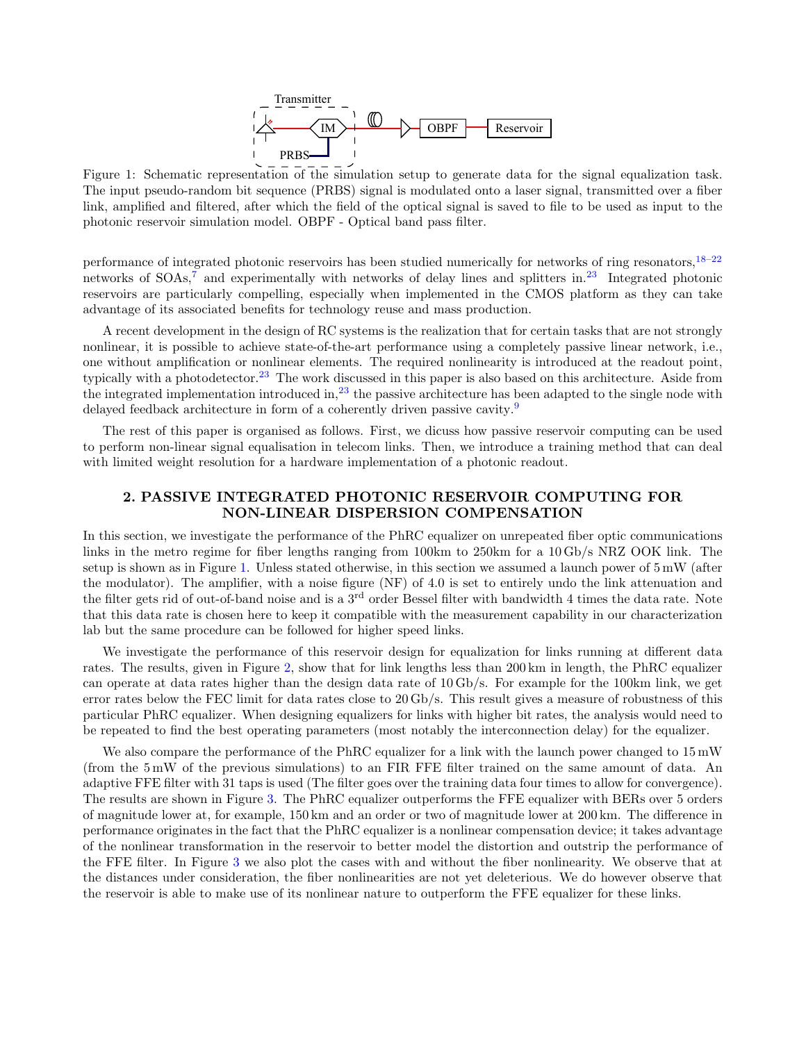

<span id="page-1-0"></span>Figure 1: Schematic representation of the simulation setup to generate data for the signal equalization task. The input pseudo-random bit sequence (PRBS) signal is modulated onto a laser signal, transmitted over a fiber link, amplified and filtered, after which the field of the optical signal is saved to file to be used as input to the photonic reservoir simulation model. OBPF - Optical band pass filter.

performance of integrated photonic reservoirs has been studied numerically for networks of ring resonators,  $18-22$  $18-22$ networks of SOAs,<sup>[7](#page-5-7)</sup> and experimentally with networks of delay lines and splitters in.<sup>[23](#page-6-1)</sup> Integrated photonic reservoirs are particularly compelling, especially when implemented in the CMOS platform as they can take advantage of its associated benefits for technology reuse and mass production.

A recent development in the design of RC systems is the realization that for certain tasks that are not strongly nonlinear, it is possible to achieve state-of-the-art performance using a completely passive linear network, i.e., one without amplification or nonlinear elements. The required nonlinearity is introduced at the readout point, typically with a photodetector.<sup>[23](#page-6-1)</sup> The work discussed in this paper is also based on this architecture. Aside from the integrated implementation introduced in,<sup>[23](#page-6-1)</sup> the passive architecture has been adapted to the single node with delayed feedback architecture in form of a coherently driven passive cavity.<sup>[9](#page-5-4)</sup>

The rest of this paper is organised as follows. First, we dicuss how passive reservoir computing can be used to perform non-linear signal equalisation in telecom links. Then, we introduce a training method that can deal with limited weight resolution for a hardware implementation of a photonic readout.

# 2. PASSIVE INTEGRATED PHOTONIC RESERVOIR COMPUTING FOR NON-LINEAR DISPERSION COMPENSATION

In this section, we investigate the performance of the PhRC equalizer on unrepeated fiber optic communications links in the metro regime for fiber lengths ranging from 100km to 250km for a 10 Gb/s NRZ OOK link. The setup is shown as in Figure [1.](#page-1-0) Unless stated otherwise, in this section we assumed a launch power of 5 mW (after the modulator). The amplifier, with a noise figure (NF) of 4.0 is set to entirely undo the link attenuation and the filter gets rid of out-of-band noise and is a 3<sup>rd</sup> order Bessel filter with bandwidth 4 times the data rate. Note that this data rate is chosen here to keep it compatible with the measurement capability in our characterization lab but the same procedure can be followed for higher speed links.

We investigate the performance of this reservoir design for equalization for links running at different data rates. The results, given in Figure [2,](#page-2-0) show that for link lengths less than 200 km in length, the PhRC equalizer can operate at data rates higher than the design data rate of 10 Gb/s. For example for the 100km link, we get error rates below the FEC limit for data rates close to 20 Gb/s. This result gives a measure of robustness of this particular PhRC equalizer. When designing equalizers for links with higher bit rates, the analysis would need to be repeated to find the best operating parameters (most notably the interconnection delay) for the equalizer.

We also compare the performance of the PhRC equalizer for a link with the launch power changed to 15 mW (from the 5 mW of the previous simulations) to an FIR FFE filter trained on the same amount of data. An adaptive FFE filter with 31 taps is used (The filter goes over the training data four times to allow for convergence). The results are shown in Figure [3.](#page-2-1) The PhRC equalizer outperforms the FFE equalizer with BERs over 5 orders of magnitude lower at, for example, 150 km and an order or two of magnitude lower at 200 km. The difference in performance originates in the fact that the PhRC equalizer is a nonlinear compensation device; it takes advantage of the nonlinear transformation in the reservoir to better model the distortion and outstrip the performance of the FFE filter. In Figure [3](#page-2-1) we also plot the cases with and without the fiber nonlinearity. We observe that at the distances under consideration, the fiber nonlinearities are not yet deleterious. We do however observe that the reservoir is able to make use of its nonlinear nature to outperform the FFE equalizer for these links.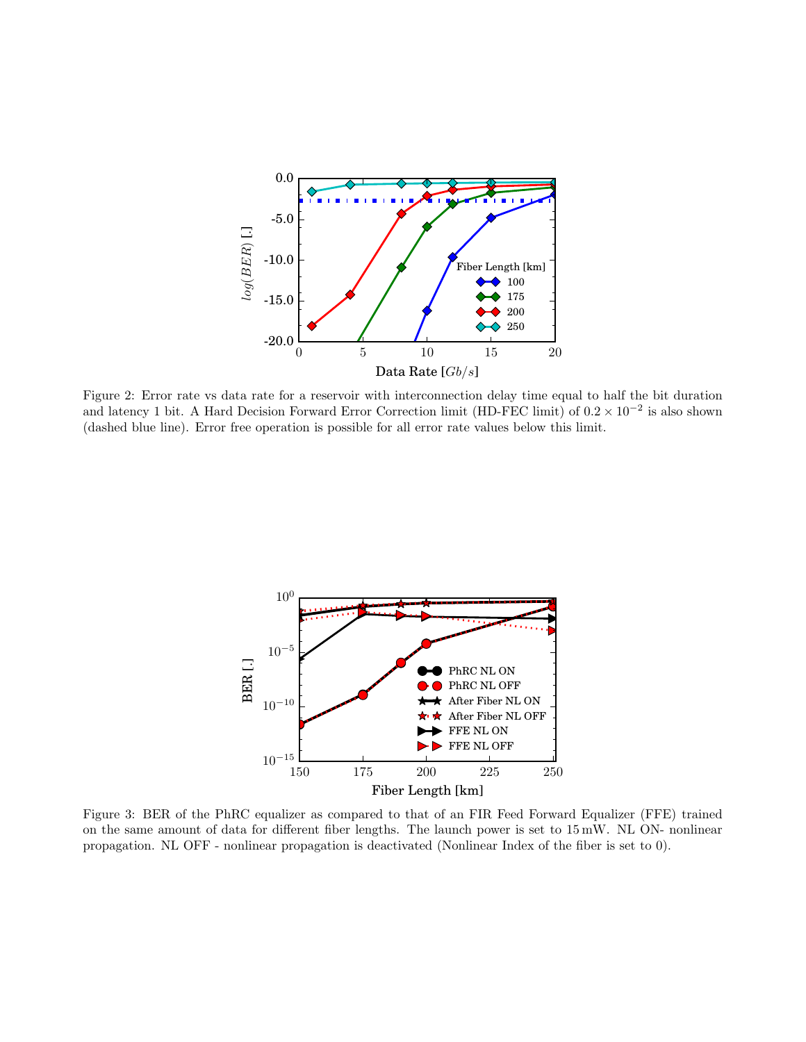<span id="page-2-0"></span>

Figure 2: Error rate vs data rate for a reservoir with interconnection delay time equal to half the bit duration and latency 1 bit. A Hard Decision Forward Error Correction limit (HD-FEC limit) of  $0.2 \times 10^{-2}$  is also shown (dashed blue line). Error free operation is possible for all error rate values below this limit.

<span id="page-2-1"></span>

Figure 3: BER of the PhRC equalizer as compared to that of an FIR Feed Forward Equalizer (FFE) trained on the same amount of data for different fiber lengths. The launch power is set to 15 mW. NL ON- nonlinear propagation. NL OFF - nonlinear propagation is deactivated (Nonlinear Index of the fiber is set to 0).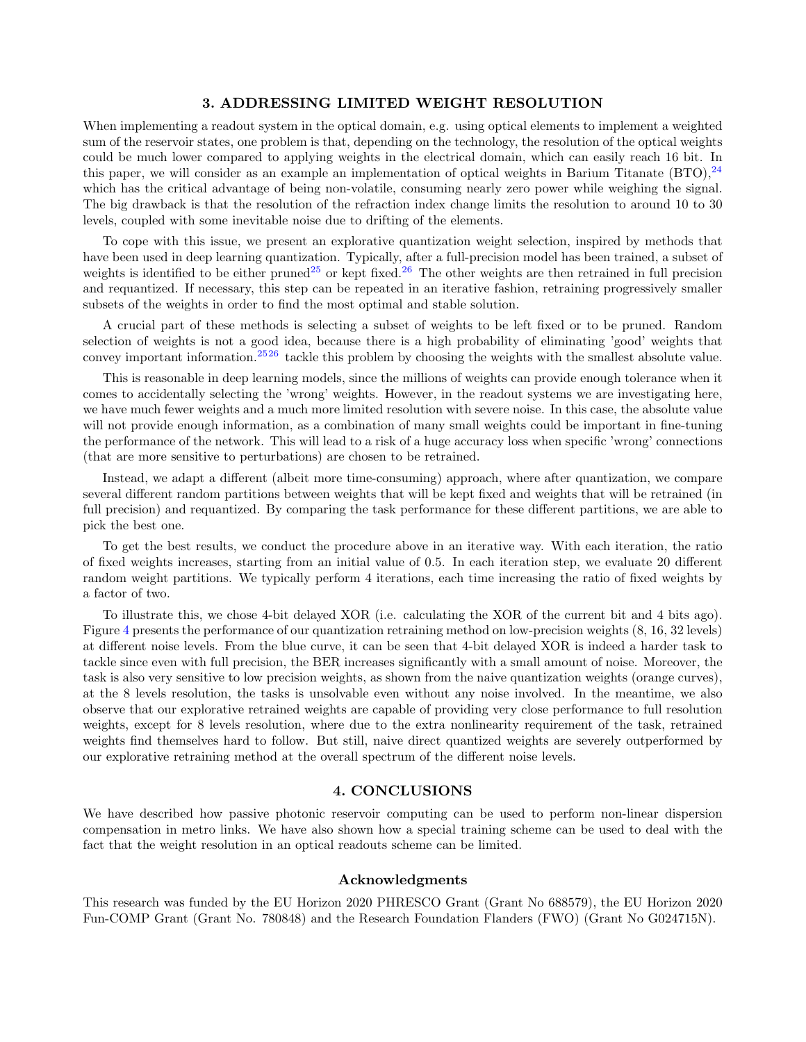#### 3. ADDRESSING LIMITED WEIGHT RESOLUTION

When implementing a readout system in the optical domain, e.g. using optical elements to implement a weighted sum of the reservoir states, one problem is that, depending on the technology, the resolution of the optical weights could be much lower compared to applying weights in the electrical domain, which can easily reach 16 bit. In this paper, we will consider as an example an implementation of optical weights in Barium Titanate  $(BTO)$ ,  $^{24}$  $^{24}$  $^{24}$ which has the critical advantage of being non-volatile, consuming nearly zero power while weighing the signal. The big drawback is that the resolution of the refraction index change limits the resolution to around 10 to 30 levels, coupled with some inevitable noise due to drifting of the elements.

To cope with this issue, we present an explorative quantization weight selection, inspired by methods that have been used in deep learning quantization. Typically, after a full-precision model has been trained, a subset of weights is identified to be either pruned<sup>[25](#page-6-3)</sup> or kept fixed.<sup>[26](#page-6-4)</sup> The other weights are then retrained in full precision and requantized. If necessary, this step can be repeated in an iterative fashion, retraining progressively smaller subsets of the weights in order to find the most optimal and stable solution.

A crucial part of these methods is selecting a subset of weights to be left fixed or to be pruned. Random selection of weights is not a good idea, because there is a high probability of eliminating 'good' weights that convey important information.[25](#page-6-3)[26](#page-6-4) tackle this problem by choosing the weights with the smallest absolute value.

This is reasonable in deep learning models, since the millions of weights can provide enough tolerance when it comes to accidentally selecting the 'wrong' weights. However, in the readout systems we are investigating here, we have much fewer weights and a much more limited resolution with severe noise. In this case, the absolute value will not provide enough information, as a combination of many small weights could be important in fine-tuning the performance of the network. This will lead to a risk of a huge accuracy loss when specific 'wrong' connections (that are more sensitive to perturbations) are chosen to be retrained.

Instead, we adapt a different (albeit more time-consuming) approach, where after quantization, we compare several different random partitions between weights that will be kept fixed and weights that will be retrained (in full precision) and requantized. By comparing the task performance for these different partitions, we are able to pick the best one.

To get the best results, we conduct the procedure above in an iterative way. With each iteration, the ratio of fixed weights increases, starting from an initial value of 0.5. In each iteration step, we evaluate 20 different random weight partitions. We typically perform 4 iterations, each time increasing the ratio of fixed weights by a factor of two.

To illustrate this, we chose 4-bit delayed XOR (i.e. calculating the XOR of the current bit and 4 bits ago). Figure [4](#page-4-0) presents the performance of our quantization retraining method on low-precision weights (8, 16, 32 levels) at different noise levels. From the blue curve, it can be seen that 4-bit delayed XOR is indeed a harder task to tackle since even with full precision, the BER increases significantly with a small amount of noise. Moreover, the task is also very sensitive to low precision weights, as shown from the naive quantization weights (orange curves), at the 8 levels resolution, the tasks is unsolvable even without any noise involved. In the meantime, we also observe that our explorative retrained weights are capable of providing very close performance to full resolution weights, except for 8 levels resolution, where due to the extra nonlinearity requirement of the task, retrained weights find themselves hard to follow. But still, naive direct quantized weights are severely outperformed by our explorative retraining method at the overall spectrum of the different noise levels.

#### 4. CONCLUSIONS

We have described how passive photonic reservoir computing can be used to perform non-linear dispersion compensation in metro links. We have also shown how a special training scheme can be used to deal with the fact that the weight resolution in an optical readouts scheme can be limited.

#### Acknowledgments

This research was funded by the EU Horizon 2020 PHRESCO Grant (Grant No 688579), the EU Horizon 2020 Fun-COMP Grant (Grant No. 780848) and the Research Foundation Flanders (FWO) (Grant No G024715N).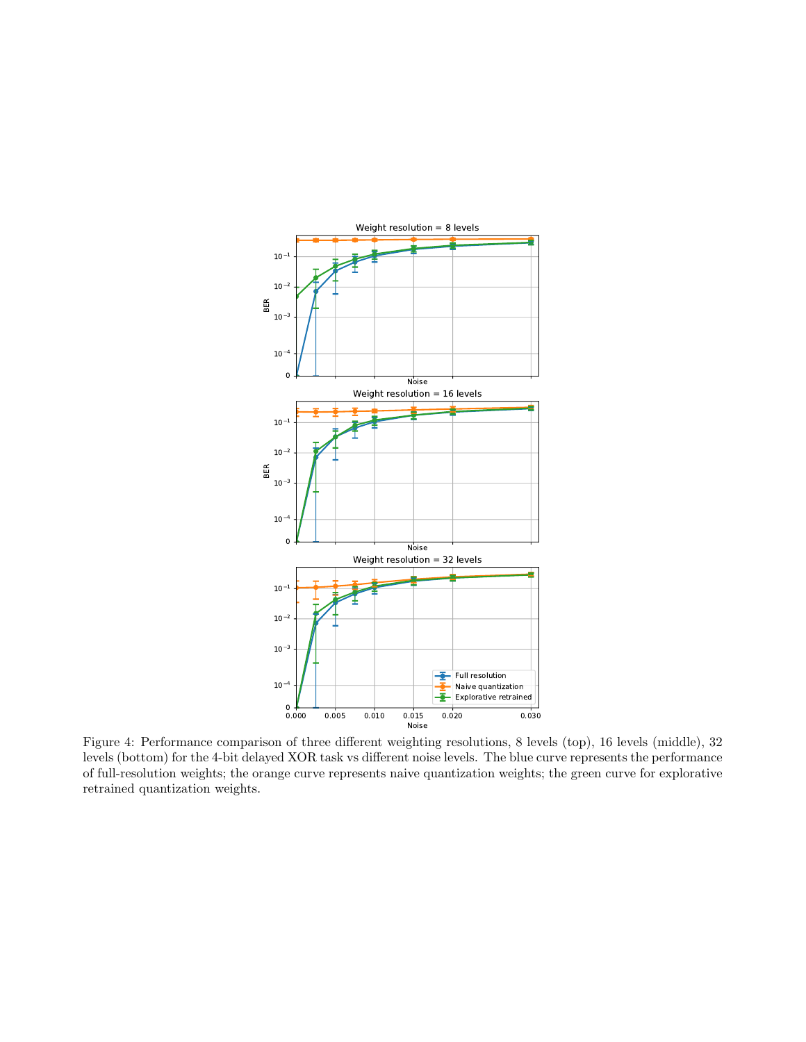<span id="page-4-0"></span>

Figure 4: Performance comparison of three different weighting resolutions, 8 levels (top), 16 levels (middle), 32 levels (bottom) for the 4-bit delayed XOR task vs different noise levels. The blue curve represents the performance of full-resolution weights; the orange curve represents naive quantization weights; the green curve for explorative retrained quantization weights.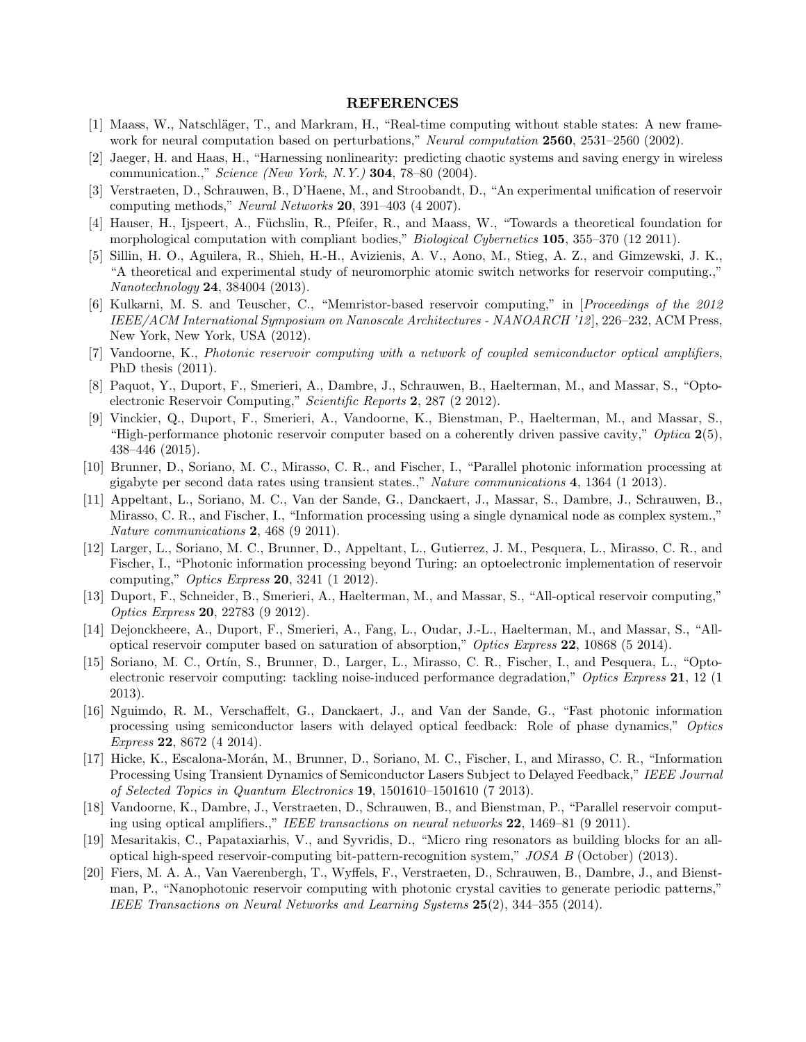## REFERENCES

- <span id="page-5-0"></span>[1] Maass, W., Natschläger, T., and Markram, H., "Real-time computing without stable states: A new framework for neural computation based on perturbations," Neural computation 2560, 2531–2560 (2002).
- [2] Jaeger, H. and Haas, H., "Harnessing nonlinearity: predicting chaotic systems and saving energy in wireless communication.," Science (New York, N.Y.) 304, 78–80 (2004).
- <span id="page-5-1"></span>[3] Verstraeten, D., Schrauwen, B., D'Haene, M., and Stroobandt, D., "An experimental unification of reservoir computing methods," Neural Networks 20, 391–403 (4 2007).
- <span id="page-5-2"></span>[4] Hauser, H., Ijspeert, A., Füchslin, R., Pfeifer, R., and Maass, W., "Towards a theoretical foundation for morphological computation with compliant bodies," *Biological Cybernetics* 105, 355–370 (12 2011).
- [5] Sillin, H. O., Aguilera, R., Shieh, H.-H., Avizienis, A. V., Aono, M., Stieg, A. Z., and Gimzewski, J. K., "A theoretical and experimental study of neuromorphic atomic switch networks for reservoir computing.," Nanotechnology 24, 384004 (2013).
- [6] Kulkarni, M. S. and Teuscher, C., "Memristor-based reservoir computing," in [Proceedings of the 2012 IEEE/ACM International Symposium on Nanoscale Architectures - NANOARCH '12], 226–232, ACM Press, New York, New York, USA (2012).
- <span id="page-5-7"></span>[7] Vandoorne, K., Photonic reservoir computing with a network of coupled semiconductor optical amplifiers, PhD thesis (2011).
- <span id="page-5-3"></span>[8] Paquot, Y., Duport, F., Smerieri, A., Dambre, J., Schrauwen, B., Haelterman, M., and Massar, S., "Optoelectronic Reservoir Computing," Scientific Reports 2, 287 (2 2012).
- <span id="page-5-4"></span>[9] Vinckier, Q., Duport, F., Smerieri, A., Vandoorne, K., Bienstman, P., Haelterman, M., and Massar, S., "High-performance photonic reservoir computer based on a coherently driven passive cavity," Optica  $2(5)$ , 438–446 (2015).
- [10] Brunner, D., Soriano, M. C., Mirasso, C. R., and Fischer, I., "Parallel photonic information processing at gigabyte per second data rates using transient states.," Nature communications 4, 1364 (1 2013).
- [11] Appeltant, L., Soriano, M. C., Van der Sande, G., Danckaert, J., Massar, S., Dambre, J., Schrauwen, B., Mirasso, C. R., and Fischer, I., "Information processing using a single dynamical node as complex system.," Nature communications 2, 468 (9 2011).
- [12] Larger, L., Soriano, M. C., Brunner, D., Appeltant, L., Gutierrez, J. M., Pesquera, L., Mirasso, C. R., and Fischer, I., "Photonic information processing beyond Turing: an optoelectronic implementation of reservoir computing," Optics Express 20, 3241 (1 2012).
- [13] Duport, F., Schneider, B., Smerieri, A., Haelterman, M., and Massar, S., "All-optical reservoir computing," Optics Express 20, 22783 (9 2012).
- [14] Dejonckheere, A., Duport, F., Smerieri, A., Fang, L., Oudar, J.-L., Haelterman, M., and Massar, S., "Alloptical reservoir computer based on saturation of absorption," Optics Express 22, 10868 (5 2014).
- [15] Soriano, M. C., Ortín, S., Brunner, D., Larger, L., Mirasso, C. R., Fischer, I., and Pesquera, L., "Optoelectronic reservoir computing: tackling noise-induced performance degradation," Optics Express 21, 12 (1) 2013).
- [16] Nguimdo, R. M., Verschaffelt, G., Danckaert, J., and Van der Sande, G., "Fast photonic information processing using semiconductor lasers with delayed optical feedback: Role of phase dynamics," Optics Express 22, 8672 (4 2014).
- <span id="page-5-5"></span>[17] Hicke, K., Escalona-Morán, M., Brunner, D., Soriano, M. C., Fischer, I., and Mirasso, C. R., "Information Processing Using Transient Dynamics of Semiconductor Lasers Subject to Delayed Feedback," IEEE Journal of Selected Topics in Quantum Electronics 19, 1501610–1501610 (7 2013).
- <span id="page-5-6"></span>[18] Vandoorne, K., Dambre, J., Verstraeten, D., Schrauwen, B., and Bienstman, P., "Parallel reservoir computing using optical amplifiers.," IEEE transactions on neural networks 22, 1469–81 (9 2011).
- [19] Mesaritakis, C., Papataxiarhis, V., and Syvridis, D., "Micro ring resonators as building blocks for an alloptical high-speed reservoir-computing bit-pattern-recognition system," JOSA B (October) (2013).
- [20] Fiers, M. A. A., Van Vaerenbergh, T., Wyffels, F., Verstraeten, D., Schrauwen, B., Dambre, J., and Bienstman, P., "Nanophotonic reservoir computing with photonic crystal cavities to generate periodic patterns," IEEE Transactions on Neural Networks and Learning Systems 25(2), 344–355 (2014).